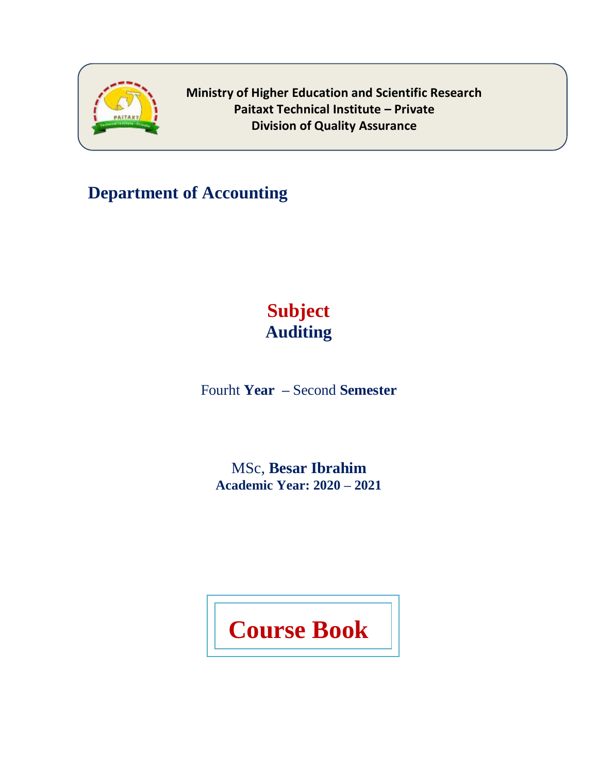

**Department of Accounting** 

# **Subject Auditing**

Fourht **Year –** Second **Semester**

MSc, **Besar Ibrahim Academic Year: 2020 – 2021**

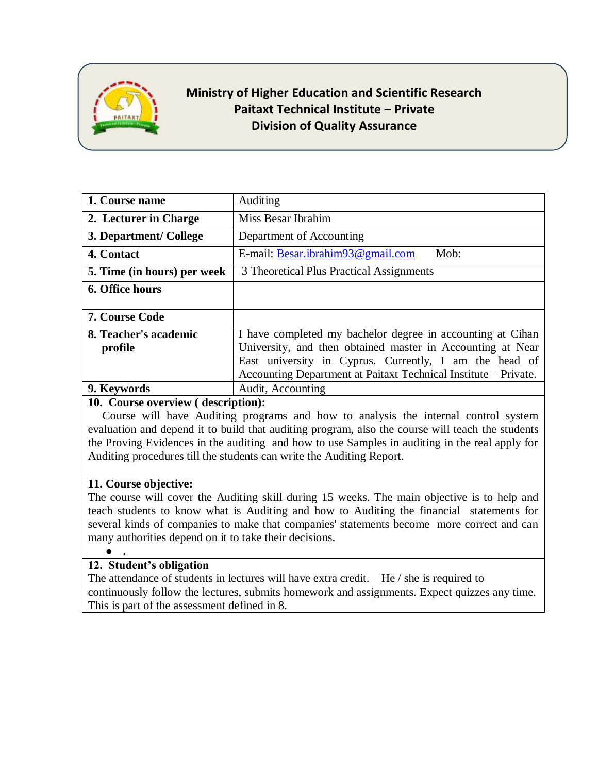

| 1. Course name              | Auditing                                                        |
|-----------------------------|-----------------------------------------------------------------|
| 2. Lecturer in Charge       | Miss Besar Ibrahim                                              |
| 3. Department/ College      | Department of Accounting                                        |
| 4. Contact                  | E-mail: Besar.jbrahim93@gmail.com<br>Mob:                       |
| 5. Time (in hours) per week | 3 Theoretical Plus Practical Assignments                        |
| 6. Office hours             |                                                                 |
|                             |                                                                 |
| <b>7. Course Code</b>       |                                                                 |
| 8. Teacher's academic       | I have completed my bachelor degree in accounting at Cihan      |
|                             |                                                                 |
| profile                     | University, and then obtained master in Accounting at Near      |
|                             | East university in Cyprus. Currently, I am the head of          |
|                             | Accounting Department at Paitaxt Technical Institute – Private. |
| 9. Keywords                 | Audit, Accounting                                               |
|                             |                                                                 |

#### **10. Course overview ( description):**

 Course will have Auditing programs and how to analysis the internal control system evaluation and depend it to build that auditing program, also the course will teach the students the Proving Evidences in the auditing and how to use Samples in auditing in the real apply for Auditing procedures till the students can write the Auditing Report.

#### **11. Course objective:**

The course will cover the Auditing skill during 15 weeks. The main objective is to help and teach students to know what is Auditing and how to Auditing the financial statements for several kinds of companies to make that companies' statements become more correct and can many authorities depend on it to take their decisions.

## ● **.**

#### **12. Student's obligation**

The attendance of students in lectures will have extra credit. He / she is required to continuously follow the lectures, submits homework and assignments. Expect quizzes any time. This is part of the assessment defined in 8.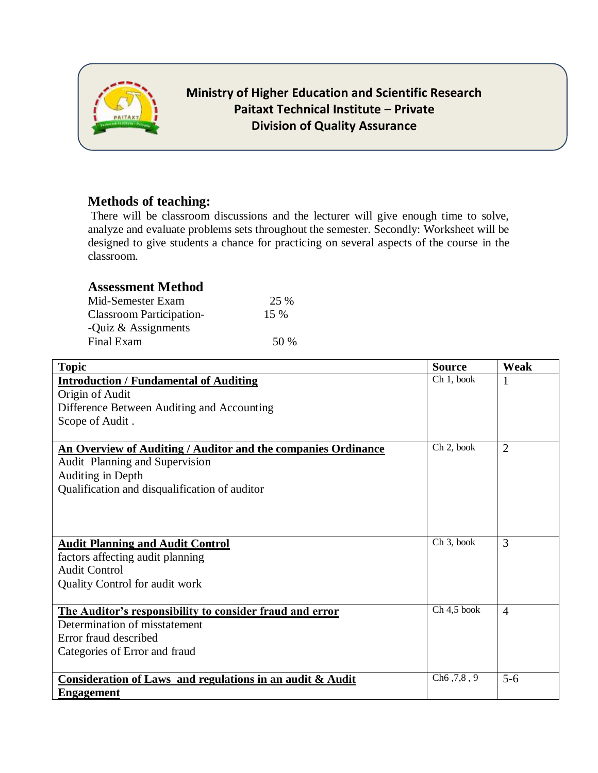

### **Methods of teaching:**

There will be classroom discussions and the lecturer will give enough time to solve, analyze and evaluate problems sets throughout the semester. Secondly: Worksheet will be designed to give students a chance for practicing on several aspects of the course in the classroom.

# **Assessment Method**

| Mid-Semester Exam               | 25 %   |
|---------------------------------|--------|
| <b>Classroom Participation-</b> | $15\%$ |
| -Quiz $\&$ Assignments          |        |
| Final Exam                      | 50 %   |

| <b>Topic</b>                                                  | <b>Source</b>          | Weak           |
|---------------------------------------------------------------|------------------------|----------------|
| <b>Introduction / Fundamental of Auditing</b>                 | Ch 1, book             |                |
| Origin of Audit                                               |                        |                |
| Difference Between Auditing and Accounting                    |                        |                |
| Scope of Audit.                                               |                        |                |
|                                                               |                        |                |
| An Overview of Auditing / Auditor and the companies Ordinance | Ch 2, book             | $\overline{2}$ |
| Audit Planning and Supervision                                |                        |                |
| Auditing in Depth                                             |                        |                |
| Qualification and disqualification of auditor                 |                        |                |
|                                                               |                        |                |
|                                                               |                        |                |
|                                                               |                        |                |
| <b>Audit Planning and Audit Control</b>                       | Ch <sub>3</sub> , book | 3              |
| factors affecting audit planning                              |                        |                |
| <b>Audit Control</b>                                          |                        |                |
| Quality Control for audit work                                |                        |                |
|                                                               |                        |                |
| The Auditor's responsibility to consider fraud and error      | $Ch 4, 5$ book         | $\overline{4}$ |
| Determination of misstatement                                 |                        |                |
| Error fraud described                                         |                        |                |
| Categories of Error and fraud                                 |                        |                |
|                                                               |                        |                |
| Consideration of Laws and regulations in an audit & Audit     | Ch6, 7, 8, 9           | $5 - 6$        |
| <b>Engagement</b>                                             |                        |                |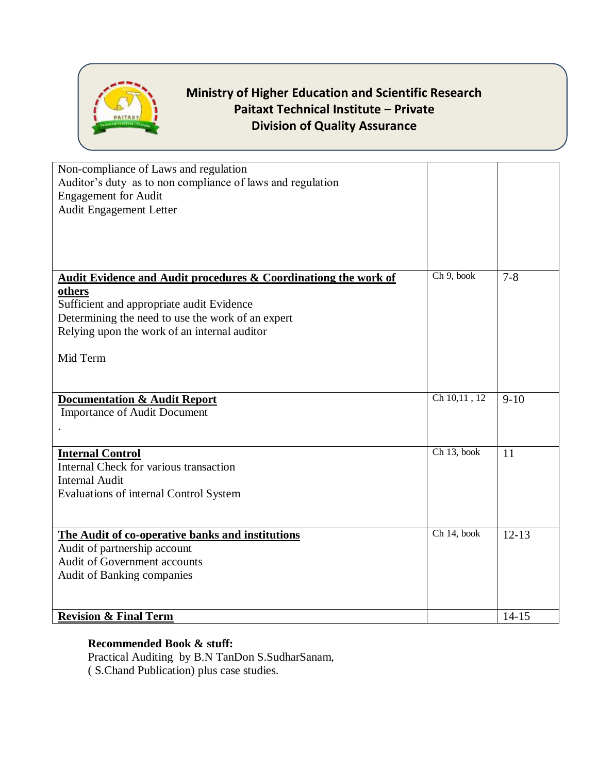

| Non-compliance of Laws and regulation                                      |                |           |
|----------------------------------------------------------------------------|----------------|-----------|
| Auditor's duty as to non compliance of laws and regulation                 |                |           |
| <b>Engagement</b> for Audit                                                |                |           |
| Audit Engagement Letter                                                    |                |           |
|                                                                            |                |           |
|                                                                            |                |           |
|                                                                            |                |           |
| <b>Audit Evidence and Audit procedures &amp; Coordinationg the work of</b> | $Ch$ 9, book   | $7 - 8$   |
| others                                                                     |                |           |
| Sufficient and appropriate audit Evidence                                  |                |           |
| Determining the need to use the work of an expert                          |                |           |
| Relying upon the work of an internal auditor                               |                |           |
|                                                                            |                |           |
| Mid Term                                                                   |                |           |
|                                                                            |                |           |
|                                                                            |                |           |
|                                                                            | $Ch$ 10,11, 12 |           |
| <b>Documentation &amp; Audit Report</b>                                    |                | $9-10$    |
| <b>Importance of Audit Document</b>                                        |                |           |
|                                                                            |                |           |
|                                                                            |                |           |
| <b>Internal Control</b>                                                    | Ch 13, book    | 11        |
| Internal Check for various transaction                                     |                |           |
| <b>Internal Audit</b>                                                      |                |           |
| Evaluations of internal Control System                                     |                |           |
|                                                                            |                |           |
|                                                                            |                |           |
| The Audit of co-operative banks and institutions                           | Ch 14, book    | $12 - 13$ |
| Audit of partnership account                                               |                |           |
| Audit of Government accounts                                               |                |           |
| Audit of Banking companies                                                 |                |           |
|                                                                            |                |           |
| <b>Revision &amp; Final Term</b>                                           |                | $14 - 15$ |

#### **Recommended Book & stuff:**

Practical Auditing by B.N TanDon S.SudharSanam, ( S.Chand Publication) plus case studies.